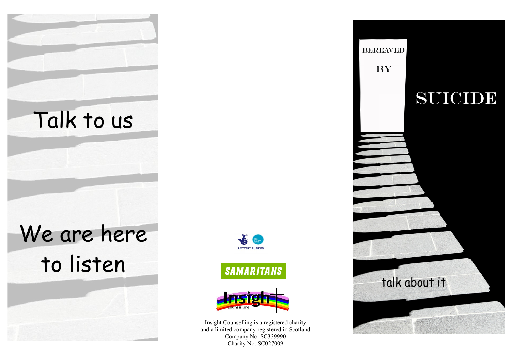







Insight Counselling is a registered charity and a limited company registered in Scotland Company No. SC339990 Charity No. SC027009